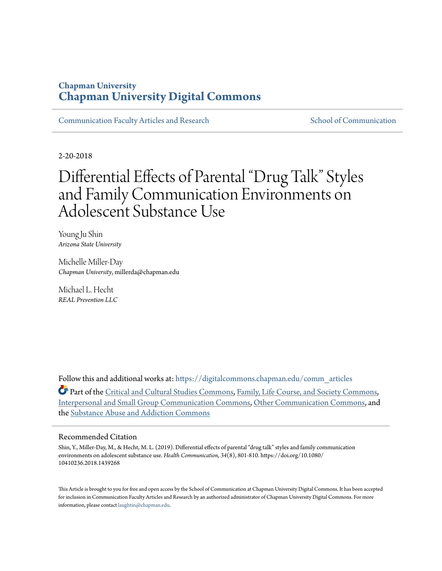## **Chapman University [Chapman University Digital Commons](https://digitalcommons.chapman.edu?utm_source=digitalcommons.chapman.edu%2Fcomm_articles%2F62&utm_medium=PDF&utm_campaign=PDFCoverPages)**

[Communication Faculty Articles and Research](https://digitalcommons.chapman.edu/comm_articles?utm_source=digitalcommons.chapman.edu%2Fcomm_articles%2F62&utm_medium=PDF&utm_campaign=PDFCoverPages) [School of Communication](https://digitalcommons.chapman.edu/communication?utm_source=digitalcommons.chapman.edu%2Fcomm_articles%2F62&utm_medium=PDF&utm_campaign=PDFCoverPages)

2-20-2018

# Differential Effects of Parental "Drug Talk" Styles and Family Communication Environments on Adolescent Substance Use

Young Ju Shin *Arizona State University*

Michelle Miller-Day *Chapman University*, millerda@chapman.edu

Michael L. Hecht *REAL Prevention LLC*

Follow this and additional works at: [https://digitalcommons.chapman.edu/comm\\_articles](https://digitalcommons.chapman.edu/comm_articles?utm_source=digitalcommons.chapman.edu%2Fcomm_articles%2F62&utm_medium=PDF&utm_campaign=PDFCoverPages)

Part of the [Critical and Cultural Studies Commons](http://network.bepress.com/hgg/discipline/328?utm_source=digitalcommons.chapman.edu%2Fcomm_articles%2F62&utm_medium=PDF&utm_campaign=PDFCoverPages), [Family, Life Course, and Society Commons,](http://network.bepress.com/hgg/discipline/419?utm_source=digitalcommons.chapman.edu%2Fcomm_articles%2F62&utm_medium=PDF&utm_campaign=PDFCoverPages) [Interpersonal and Small Group Communication Commons,](http://network.bepress.com/hgg/discipline/332?utm_source=digitalcommons.chapman.edu%2Fcomm_articles%2F62&utm_medium=PDF&utm_campaign=PDFCoverPages) [Other Communication Commons,](http://network.bepress.com/hgg/discipline/339?utm_source=digitalcommons.chapman.edu%2Fcomm_articles%2F62&utm_medium=PDF&utm_campaign=PDFCoverPages) and the [Substance Abuse and Addiction Commons](http://network.bepress.com/hgg/discipline/710?utm_source=digitalcommons.chapman.edu%2Fcomm_articles%2F62&utm_medium=PDF&utm_campaign=PDFCoverPages)

#### Recommended Citation

Shin, Y., Miller-Day, M., & Hecht, M. L. (2019). Differential effects of parental "drug talk" styles and family communication environments on adolescent substance use. *Health Communication, 34*(8), 801-810. https://doi.org/10.1080/ 10410236.2018.1439268

This Article is brought to you for free and open access by the School of Communication at Chapman University Digital Commons. It has been accepted for inclusion in Communication Faculty Articles and Research by an authorized administrator of Chapman University Digital Commons. For more information, please contact [laughtin@chapman.edu](mailto:laughtin@chapman.edu).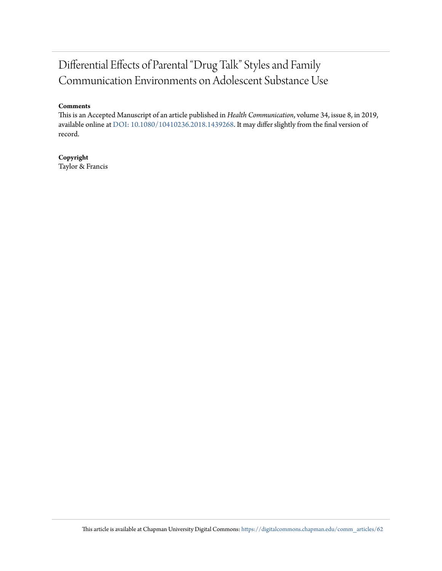## Differential Effects of Parental "Drug Talk" Styles and Family Communication Environments on Adolescent Substance Use

#### **Comments**

This is an Accepted Manuscript of an article published in *Health Communication*, volume 34, issue 8, in 2019, available online at [DOI: 10.1080/10410236.2018.1439268.](https://doi.org/10.1080/10410236.2018.1439268) It may differ slightly from the final version of record.

## **Copyright**

Taylor & Francis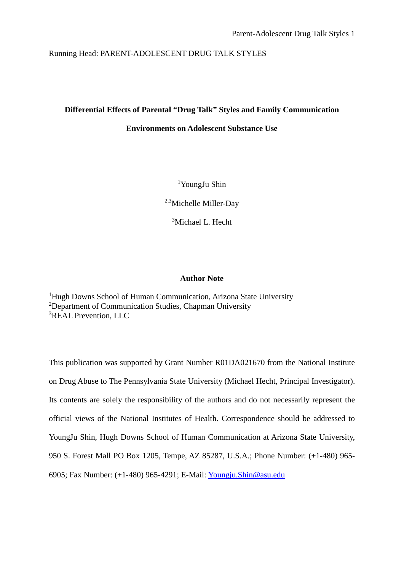#### Running Head: PARENT-ADOLESCENT DRUG TALK STYLES

### **Differential Effects of Parental "Drug Talk" Styles and Family Communication**

#### **Environments on Adolescent Substance Use**

1 YoungJu Shin

2,3Michelle Miller-Day

<sup>3</sup>Michael L. Hecht

#### **Author Note**

<sup>1</sup>Hugh Downs School of Human Communication, Arizona State University <sup>2</sup>Department of Communication Studies, Chapman University 3 REAL Prevention, LLC

This publication was supported by Grant Number R01DA021670 from the National Institute on Drug Abuse to The Pennsylvania State University (Michael Hecht, Principal Investigator). Its contents are solely the responsibility of the authors and do not necessarily represent the official views of the National Institutes of Health. Correspondence should be addressed to YoungJu Shin, Hugh Downs School of Human Communication at Arizona State University, 950 S. Forest Mall PO Box 1205, Tempe, AZ 85287, U.S.A.; Phone Number: (+1-480) 965- 6905; Fax Number: (+1-480) 965-4291; E-Mail: [Youngju.Shin@asu.edu](mailto:Youngju.Shin@asu.edu)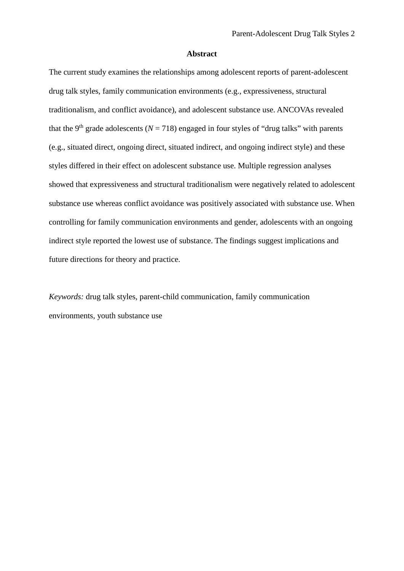#### **Abstract**

The current study examines the relationships among adolescent reports of parent-adolescent drug talk styles, family communication environments (e.g., expressiveness, structural traditionalism, and conflict avoidance), and adolescent substance use. ANCOVAs revealed that the 9<sup>th</sup> grade adolescents ( $N = 718$ ) engaged in four styles of "drug talks" with parents (e.g., situated direct, ongoing direct, situated indirect, and ongoing indirect style) and these styles differed in their effect on adolescent substance use. Multiple regression analyses showed that expressiveness and structural traditionalism were negatively related to adolescent substance use whereas conflict avoidance was positively associated with substance use. When controlling for family communication environments and gender, adolescents with an ongoing indirect style reported the lowest use of substance. The findings suggest implications and future directions for theory and practice.

*Keywords:* drug talk styles, parent-child communication, family communication environments, youth substance use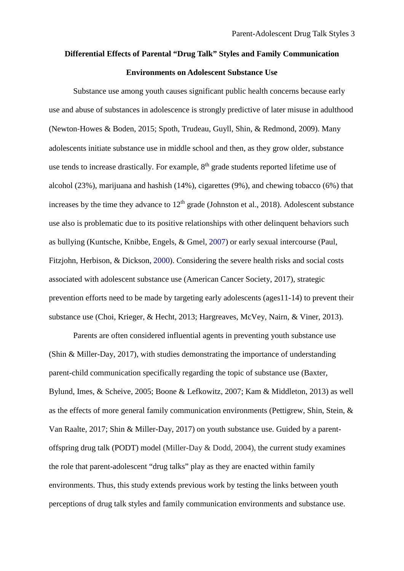## **Differential Effects of Parental "Drug Talk" Styles and Family Communication Environments on Adolescent Substance Use**

Substance use among youth causes significant public health concerns because early use and abuse of substances in adolescence is strongly predictive of later misuse in adulthood (Newton‐Howes & Boden, 2015; Spoth, Trudeau, Guyll, Shin, & Redmond, 2009). Many adolescents initiate substance use in middle school and then, as they grow older, substance use tends to increase drastically. For example, 8<sup>th</sup> grade students reported lifetime use of alcohol (23%), marijuana and hashish (14%), cigarettes (9%), and chewing tobacco (6%) that increases by the time they advance to  $12<sup>th</sup>$  grade (Johnston et al., 2018). Adolescent substance use also is problematic due to its positive relationships with other delinquent behaviors such as bullying (Kuntsche, Knibbe, Engels, & Gmel, 2007) or early sexual intercourse (Paul, Fitzjohn, Herbison, & Dickson, 2000). Considering the severe health risks and social costs associated with adolescent substance use (American Cancer Society, 2017), strategic prevention efforts need to be made by targeting early adolescents (ages11-14) to prevent their substance use (Choi, Krieger, & Hecht, 2013; Hargreaves, McVey, Nairn, & Viner, 2013).

Parents are often considered influential agents in preventing youth substance use (Shin & Miller-Day, 2017), with studies demonstrating the importance of understanding parent-child communication specifically regarding the topic of substance use (Baxter, Bylund, Imes, & Scheive, 2005; Boone & Lefkowitz, 2007; Kam & Middleton, 2013) as well as the effects of more general family communication environments (Pettigrew, Shin, Stein, & Van Raalte, 2017; Shin & Miller-Day, 2017) on youth substance use. Guided by a parentoffspring drug talk (PODT) model (Miller-Day & Dodd, 2004), the current study examines the role that parent-adolescent "drug talks" play as they are enacted within family environments. Thus, this study extends previous work by testing the links between youth perceptions of drug talk styles and family communication environments and substance use.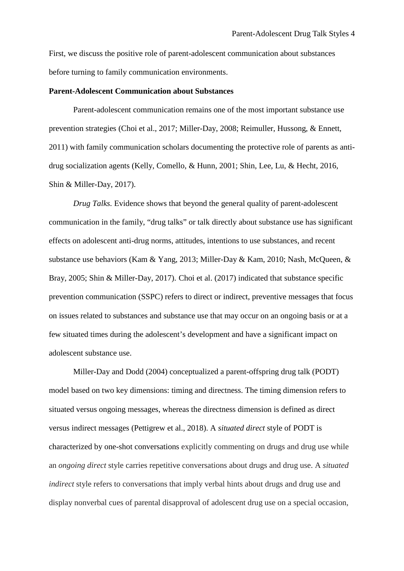First, we discuss the positive role of parent-adolescent communication about substances before turning to family communication environments.

#### **Parent-Adolescent Communication about Substances**

Parent-adolescent communication remains one of the most important substance use prevention strategies (Choi et al., 2017; Miller-Day, 2008; Reimuller, Hussong, & Ennett, 2011) with family communication scholars documenting the protective role of parents as antidrug socialization agents (Kelly, Comello, & Hunn, 2001; Shin, Lee, Lu, & Hecht, 2016, Shin & Miller-Day, 2017).

*Drug Talks.* Evidence shows that beyond the general quality of parent-adolescent communication in the family, "drug talks" or talk directly about substance use has significant effects on adolescent anti-drug norms, attitudes, intentions to use substances, and recent substance use behaviors (Kam & Yang, 2013; Miller-Day & Kam, 2010; Nash, McQueen, & Bray, 2005; Shin & Miller-Day, 2017). Choi et al. (2017) indicated that substance specific prevention communication (SSPC) refers to direct or indirect, preventive messages that focus on issues related to substances and substance use that may occur on an ongoing basis or at a few situated times during the adolescent's development and have a significant impact on adolescent substance use.

Miller-Day and Dodd (2004) conceptualized a parent-offspring drug talk (PODT) model based on two key dimensions: timing and directness. The timing dimension refers to situated versus ongoing messages, whereas the directness dimension is defined as direct versus indirect messages (Pettigrew et al., 2018). A *situated direct* style of PODT is characterized by one-shot conversations explicitly commenting on drugs and drug use while an *ongoing direct* style carries repetitive conversations about drugs and drug use. A *situated indirect* style refers to conversations that imply verbal hints about drugs and drug use and display nonverbal cues of parental disapproval of adolescent drug use on a special occasion,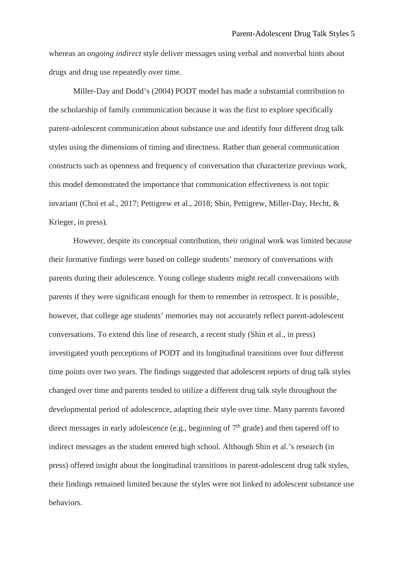whereas an *ongoing indirect* style deliver messages using verbal and nonverbal hints about drugs and drug use repeatedly over time.

Miller-Day and Dodd's (2004) PODT model has made a substantial contribution to the scholarship of family communication because it was the first to explore specifically parent-adolescent communication about substance use and identify four different drug talk styles using the dimensions of timing and directness. Rather than general communication constructs such as openness and frequency of conversation that characterize previous work, this model demonstrated the importance that communication effectiveness is not topic invariant (Choi et al., 2017; Pettigrew et al., 2018; Shin, Pettigrew, Miller-Day, Hecht, & Krieger, in press).

However, despite its conceptual contribution, their original work was limited because their formative findings were based on college students' memory of conversations with parents during their adolescence. Young college students might recall conversations with parents if they were significant enough for them to remember in retrospect. It is possible, however, that college age students' memories may not accurately reflect parent-adolescent conversations. To extend this line of research, a recent study (Shin et al., in press) investigated youth perceptions of PODT and its longitudinal transitions over four different time points over two years. The findings suggested that adolescent reports of drug talk styles changed over time and parents tended to utilize a different drug talk style throughout the developmental period of adolescence, adapting their style over time. Many parents favored direct messages in early adolescence (e.g., beginning of  $7<sup>th</sup>$  grade) and then tapered off to indirect messages as the student entered high school. Although Shin et al.'s research (in press) offered insight about the longitudinal transitions in parent-adolescent drug talk styles, their findings remained limited because the styles were not linked to adolescent substance use behaviors.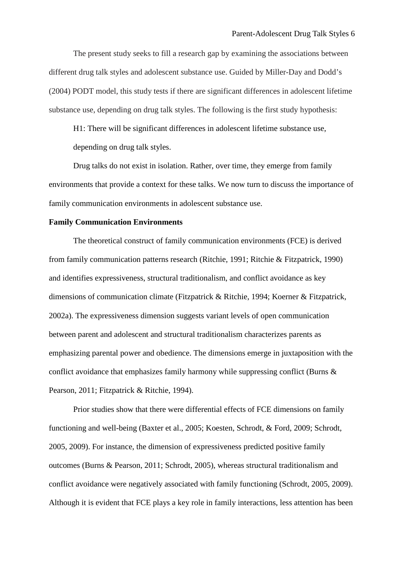The present study seeks to fill a research gap by examining the associations between different drug talk styles and adolescent substance use. Guided by Miller-Day and Dodd's (2004) PODT model, this study tests if there are significant differences in adolescent lifetime substance use, depending on drug talk styles. The following is the first study hypothesis:

H1: There will be significant differences in adolescent lifetime substance use, depending on drug talk styles.

Drug talks do not exist in isolation. Rather, over time, they emerge from family environments that provide a context for these talks. We now turn to discuss the importance of family communication environments in adolescent substance use.

#### **Family Communication Environments**

The theoretical construct of family communication environments (FCE) is derived from family communication patterns research (Ritchie, 1991; Ritchie & Fitzpatrick, 1990) and identifies expressiveness, structural traditionalism, and conflict avoidance as key dimensions of communication climate (Fitzpatrick & Ritchie, 1994; Koerner & Fitzpatrick, 2002a). The expressiveness dimension suggests variant levels of open communication between parent and adolescent and structural traditionalism characterizes parents as emphasizing parental power and obedience. The dimensions emerge in juxtaposition with the conflict avoidance that emphasizes family harmony while suppressing conflict (Burns & Pearson, 2011; Fitzpatrick & Ritchie, 1994).

Prior studies show that there were differential effects of FCE dimensions on family functioning and well-being (Baxter et al., 2005; Koesten, Schrodt, & Ford, 2009; Schrodt, 2005, 2009). For instance, the dimension of expressiveness predicted positive family outcomes (Burns & Pearson, 2011; Schrodt, 2005), whereas structural traditionalism and conflict avoidance were negatively associated with family functioning (Schrodt, 2005, 2009). Although it is evident that FCE plays a key role in family interactions, less attention has been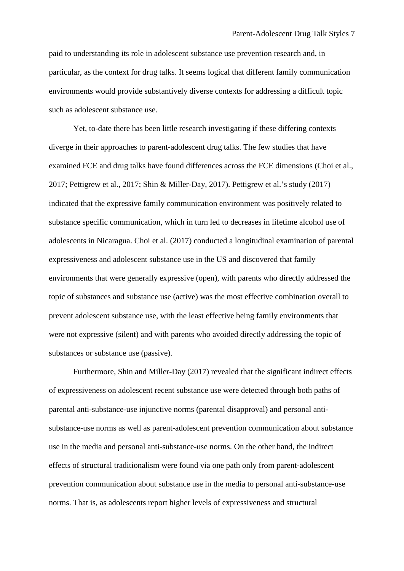paid to understanding its role in adolescent substance use prevention research and, in particular, as the context for drug talks. It seems logical that different family communication environments would provide substantively diverse contexts for addressing a difficult topic such as adolescent substance use.

Yet, to-date there has been little research investigating if these differing contexts diverge in their approaches to parent-adolescent drug talks. The few studies that have examined FCE and drug talks have found differences across the FCE dimensions (Choi et al., 2017; Pettigrew et al., 2017; Shin & Miller-Day, 2017). Pettigrew et al.'s study (2017) indicated that the expressive family communication environment was positively related to substance specific communication, which in turn led to decreases in lifetime alcohol use of adolescents in Nicaragua. Choi et al. (2017) conducted a longitudinal examination of parental expressiveness and adolescent substance use in the US and discovered that family environments that were generally expressive (open), with parents who directly addressed the topic of substances and substance use (active) was the most effective combination overall to prevent adolescent substance use, with the least effective being family environments that were not expressive (silent) and with parents who avoided directly addressing the topic of substances or substance use (passive).

Furthermore, Shin and Miller-Day (2017) revealed that the significant indirect effects of expressiveness on adolescent recent substance use were detected through both paths of parental anti-substance-use injunctive norms (parental disapproval) and personal antisubstance-use norms as well as parent-adolescent prevention communication about substance use in the media and personal anti-substance-use norms. On the other hand, the indirect effects of structural traditionalism were found via one path only from parent-adolescent prevention communication about substance use in the media to personal anti-substance-use norms. That is, as adolescents report higher levels of expressiveness and structural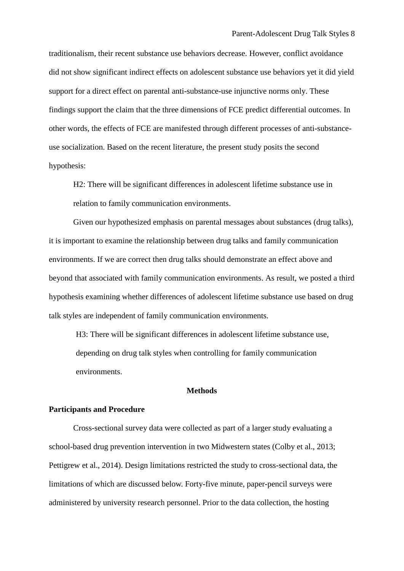traditionalism, their recent substance use behaviors decrease. However, conflict avoidance did not show significant indirect effects on adolescent substance use behaviors yet it did yield support for a direct effect on parental anti-substance-use injunctive norms only. These findings support the claim that the three dimensions of FCE predict differential outcomes. In other words, the effects of FCE are manifested through different processes of anti-substanceuse socialization. Based on the recent literature, the present study posits the second hypothesis:

H2: There will be significant differences in adolescent lifetime substance use in relation to family communication environments.

Given our hypothesized emphasis on parental messages about substances (drug talks), it is important to examine the relationship between drug talks and family communication environments. If we are correct then drug talks should demonstrate an effect above and beyond that associated with family communication environments. As result, we posted a third hypothesis examining whether differences of adolescent lifetime substance use based on drug talk styles are independent of family communication environments.

H3: There will be significant differences in adolescent lifetime substance use, depending on drug talk styles when controlling for family communication environments.

#### **Methods**

#### **Participants and Procedure**

Cross-sectional survey data were collected as part of a larger study evaluating a school-based drug prevention intervention in two Midwestern states (Colby et al., 2013; Pettigrew et al., 2014). Design limitations restricted the study to cross-sectional data, the limitations of which are discussed below. Forty-five minute, paper-pencil surveys were administered by university research personnel. Prior to the data collection, the hosting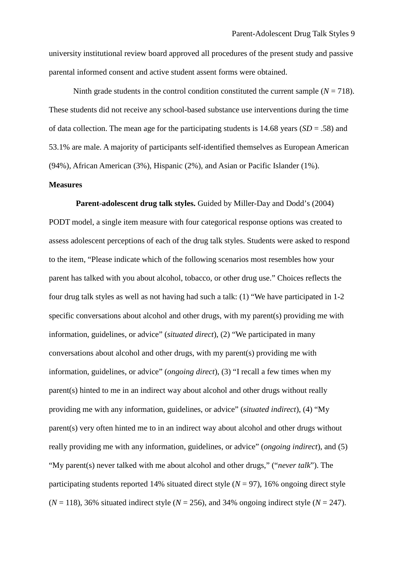university institutional review board approved all procedures of the present study and passive parental informed consent and active student assent forms were obtained.

Ninth grade students in the control condition constituted the current sample  $(N = 718)$ . These students did not receive any school-based substance use interventions during the time of data collection. The mean age for the participating students is 14.68 years (*SD* = .58) and 53.1% are male. A majority of participants self-identified themselves as European American (94%), African American (3%), Hispanic (2%), and Asian or Pacific Islander (1%).

#### **Measures**

**Parent-adolescent drug talk styles.** Guided by Miller-Day and Dodd's (2004) PODT model, a single item measure with four categorical response options was created to assess adolescent perceptions of each of the drug talk styles. Students were asked to respond to the item, "Please indicate which of the following scenarios most resembles how your parent has talked with you about alcohol, tobacco, or other drug use." Choices reflects the four drug talk styles as well as not having had such a talk: (1) "We have participated in 1-2 specific conversations about alcohol and other drugs, with my parent(s) providing me with information, guidelines, or advice" (*situated direct*), (2) "We participated in many conversations about alcohol and other drugs, with my parent(s) providing me with information, guidelines, or advice" (*ongoing direct*), (3) "I recall a few times when my parent(s) hinted to me in an indirect way about alcohol and other drugs without really providing me with any information, guidelines, or advice" (*situated indirect*), (4) "My parent(s) very often hinted me to in an indirect way about alcohol and other drugs without really providing me with any information, guidelines, or advice" (*ongoing indirect*), and (5) "My parent(s) never talked with me about alcohol and other drugs," ("*never talk*"). The participating students reported 14% situated direct style  $(N = 97)$ , 16% ongoing direct style  $(N = 118)$ , 36% situated indirect style  $(N = 256)$ , and 34% ongoing indirect style  $(N = 247)$ .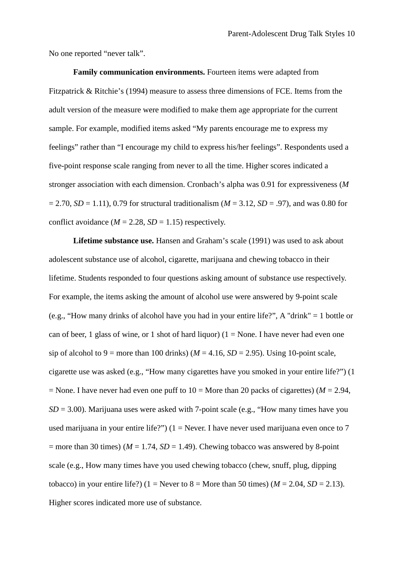No one reported "never talk".

**Family communication environments.** Fourteen items were adapted from Fitzpatrick & Ritchie's (1994) measure to assess three dimensions of FCE. Items from the adult version of the measure were modified to make them age appropriate for the current sample. For example, modified items asked "My parents encourage me to express my feelings" rather than "I encourage my child to express his/her feelings". Respondents used a five-point response scale ranging from never to all the time. Higher scores indicated a stronger association with each dimension. Cronbach's alpha was 0.91 for expressiveness (*M*  $= 2.70, SD = 1.11$ , 0.79 for structural traditionalism ( $M = 3.12, SD = .97$ ), and was 0.80 for conflict avoidance  $(M = 2.28, SD = 1.15)$  respectively.

Lifetime substance use. Hansen and Graham's scale (1991) was used to ask about adolescent substance use of alcohol, cigarette, marijuana and chewing tobacco in their lifetime. Students responded to four questions asking amount of substance use respectively. For example, the items asking the amount of alcohol use were answered by 9-point scale (e.g., "How many drinks of alcohol have you had in your entire life?", A "drink" = 1 bottle or can of beer, 1 glass of wine, or 1 shot of hard liquor) ( $1 =$ None. I have never had even one sip of alcohol to 9 = more than 100 drinks) ( $M = 4.16$ ,  $SD = 2.95$ ). Using 10-point scale, cigarette use was asked (e.g., "How many cigarettes have you smoked in your entire life?") (1  $=$  None. I have never had even one puff to  $10 =$  More than 20 packs of cigarettes) ( $M = 2.94$ ,  $SD = 3.00$ ). Marijuana uses were asked with 7-point scale (e.g., "How many times have you used marijuana in your entire life?")  $(1 =$  Never. I have never used marijuana even once to 7  $=$  more than 30 times) ( $M = 1.74$ ,  $SD = 1.49$ ). Chewing tobacco was answered by 8-point scale (e.g., How many times have you used chewing tobacco (chew, snuff, plug, dipping tobacco) in your entire life?) (1 = Never to 8 = More than 50 times) ( $M = 2.04$ ,  $SD = 2.13$ ). Higher scores indicated more use of substance.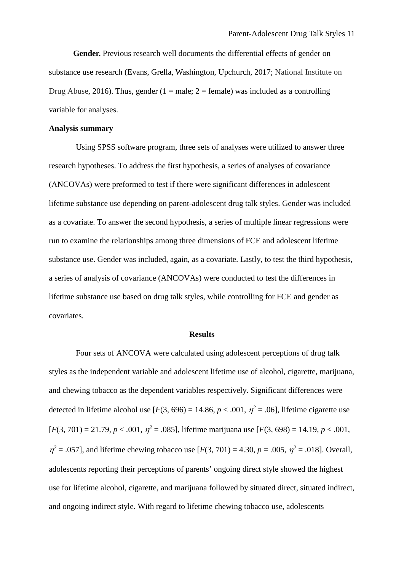**Gender.** Previous research well documents the differential effects of gender on substance use research (Evans, Grella, Washington, Upchurch, 2017; National Institute on Drug Abuse, 2016). Thus, gender (1 = male; 2 = female) was included as a controlling variable for analyses.

#### **Analysis summary**

Using SPSS software program, three sets of analyses were utilized to answer three research hypotheses. To address the first hypothesis, a series of analyses of covariance (ANCOVAs) were preformed to test if there were significant differences in adolescent lifetime substance use depending on parent-adolescent drug talk styles. Gender was included as a covariate. To answer the second hypothesis, a series of multiple linear regressions were run to examine the relationships among three dimensions of FCE and adolescent lifetime substance use. Gender was included, again, as a covariate. Lastly, to test the third hypothesis, a series of analysis of covariance (ANCOVAs) were conducted to test the differences in lifetime substance use based on drug talk styles, while controlling for FCE and gender as covariates.

#### **Results**

Four sets of ANCOVA were calculated using adolescent perceptions of drug talk styles as the independent variable and adolescent lifetime use of alcohol, cigarette, marijuana, and chewing tobacco as the dependent variables respectively. Significant differences were detected in lifetime alcohol use  $[F(3, 696) = 14.86, p < .001, \eta^2 = .06]$ , lifetime cigarette use  $[F(3, 701) = 21.79, p < .001, \eta^2 = .085]$ , lifetime marijuana use  $[F(3, 698) = 14.19, p < .001$ ,  $\eta^2 = .057$ , and lifetime chewing tobacco use  $[F(3, 701) = 4.30, p = .005, \eta^2 = .018]$ . Overall, adolescents reporting their perceptions of parents' ongoing direct style showed the highest use for lifetime alcohol, cigarette, and marijuana followed by situated direct, situated indirect, and ongoing indirect style. With regard to lifetime chewing tobacco use, adolescents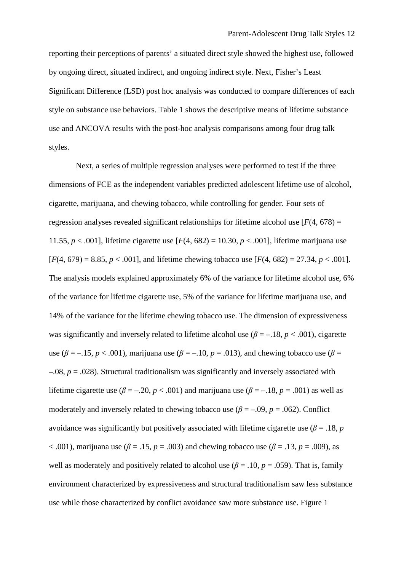reporting their perceptions of parents' a situated direct style showed the highest use, followed by ongoing direct, situated indirect, and ongoing indirect style. Next, Fisher's Least Significant Difference (LSD) post hoc analysis was conducted to compare differences of each style on substance use behaviors. Table 1 shows the descriptive means of lifetime substance use and ANCOVA results with the post-hoc analysis comparisons among four drug talk styles.

Next, a series of multiple regression analyses were performed to test if the three dimensions of FCE as the independent variables predicted adolescent lifetime use of alcohol, cigarette, marijuana, and chewing tobacco, while controlling for gender. Four sets of regression analyses revealed significant relationships for lifetime alcohol use  $[F(4, 678) =$ 11.55,  $p < .001$ ], lifetime cigarette use  $[F(4, 682) = 10.30, p < .001]$ , lifetime marijuana use  $[F(4, 679) = 8.85, p < .001]$ , and lifetime chewing tobacco use  $[F(4, 682) = 27.34, p < .001]$ . The analysis models explained approximately 6% of the variance for lifetime alcohol use, 6% of the variance for lifetime cigarette use, 5% of the variance for lifetime marijuana use, and 14% of the variance for the lifetime chewing tobacco use. The dimension of expressiveness was significantly and inversely related to lifetime alcohol use  $(\beta = -18, p < .001)$ , cigarette use ( $\beta = -15$ ,  $p < .001$ ), marijuana use ( $\beta = -10$ ,  $p = .013$ ), and chewing tobacco use ( $\beta =$ –.08, *p* = .028). Structural traditionalism was significantly and inversely associated with lifetime cigarette use ( $\beta = -0.20$ ,  $p < 0.001$ ) and marijuana use ( $\beta = -0.18$ ,  $p = 0.001$ ) as well as moderately and inversely related to chewing tobacco use  $(\beta = -0.09, p = 0.062)$ . Conflict avoidance was significantly but positively associated with lifetime cigarette use ( $\beta$  = .18, *p*  $<$  .001), marijuana use ( $\beta$  = .15, *p* = .003) and chewing tobacco use ( $\beta$  = .13, *p* = .009), as well as moderately and positively related to alcohol use  $(\beta = .10, p = .059)$ . That is, family environment characterized by expressiveness and structural traditionalism saw less substance use while those characterized by conflict avoidance saw more substance use. Figure 1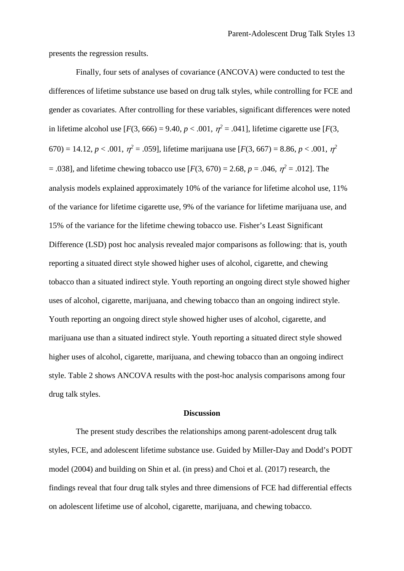presents the regression results.

Finally, four sets of analyses of covariance (ANCOVA) were conducted to test the differences of lifetime substance use based on drug talk styles, while controlling for FCE and gender as covariates. After controlling for these variables, significant differences were noted in lifetime alcohol use  $[F(3, 666) = 9.40, p < .001, \eta^2 = .041]$ , lifetime cigarette use  $[F(3, 666) = 9.40, p < .001]$ 670) = 14.12, *p* < .001, η*<sup>2</sup>* = .059], lifetime marijuana use [*F*(3, 667) = 8.86, *p* < .001, η*<sup>2</sup>*  $= .038$ ], and lifetime chewing tobacco use [*F*(3, 670) = 2.68, *p* = .046,  $\eta^2 = .012$ ]. The analysis models explained approximately 10% of the variance for lifetime alcohol use, 11% of the variance for lifetime cigarette use, 9% of the variance for lifetime marijuana use, and 15% of the variance for the lifetime chewing tobacco use. Fisher's Least Significant Difference (LSD) post hoc analysis revealed major comparisons as following: that is, youth reporting a situated direct style showed higher uses of alcohol, cigarette, and chewing tobacco than a situated indirect style. Youth reporting an ongoing direct style showed higher uses of alcohol, cigarette, marijuana, and chewing tobacco than an ongoing indirect style. Youth reporting an ongoing direct style showed higher uses of alcohol, cigarette, and marijuana use than a situated indirect style. Youth reporting a situated direct style showed higher uses of alcohol, cigarette, marijuana, and chewing tobacco than an ongoing indirect style. Table 2 shows ANCOVA results with the post-hoc analysis comparisons among four drug talk styles.

#### **Discussion**

The present study describes the relationships among parent-adolescent drug talk styles, FCE, and adolescent lifetime substance use. Guided by Miller-Day and Dodd's PODT model (2004) and building on Shin et al. (in press) and Choi et al. (2017) research, the findings reveal that four drug talk styles and three dimensions of FCE had differential effects on adolescent lifetime use of alcohol, cigarette, marijuana, and chewing tobacco.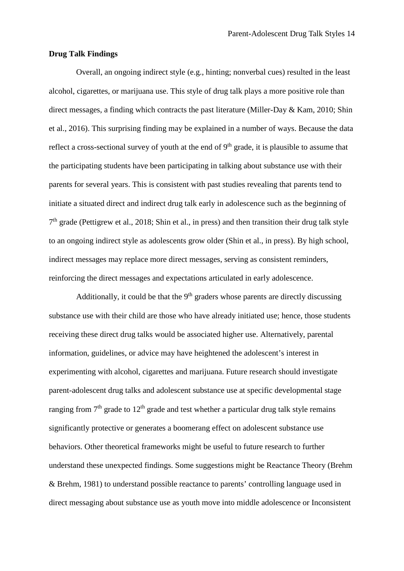#### **Drug Talk Findings**

Overall, an ongoing indirect style (e.g., hinting; nonverbal cues) resulted in the least alcohol, cigarettes, or marijuana use. This style of drug talk plays a more positive role than direct messages, a finding which contracts the past literature (Miller-Day & Kam, 2010; Shin et al., 2016). This surprising finding may be explained in a number of ways. Because the data reflect a cross-sectional survey of youth at the end of  $9<sup>th</sup>$  grade, it is plausible to assume that the participating students have been participating in talking about substance use with their parents for several years. This is consistent with past studies revealing that parents tend to initiate a situated direct and indirect drug talk early in adolescence such as the beginning of  $7<sup>th</sup>$  grade (Pettigrew et al., 2018; Shin et al., in press) and then transition their drug talk style to an ongoing indirect style as adolescents grow older (Shin et al., in press). By high school, indirect messages may replace more direct messages, serving as consistent reminders, reinforcing the direct messages and expectations articulated in early adolescence.

Additionally, it could be that the  $9<sup>th</sup>$  graders whose parents are directly discussing substance use with their child are those who have already initiated use; hence, those students receiving these direct drug talks would be associated higher use. Alternatively, parental information, guidelines, or advice may have heightened the adolescent's interest in experimenting with alcohol, cigarettes and marijuana. Future research should investigate parent-adolescent drug talks and adolescent substance use at specific developmental stage ranging from  $7<sup>th</sup>$  grade to  $12<sup>th</sup>$  grade and test whether a particular drug talk style remains significantly protective or generates a boomerang effect on adolescent substance use behaviors. Other theoretical frameworks might be useful to future research to further understand these unexpected findings. Some suggestions might be Reactance Theory (Brehm & Brehm, 1981) to understand possible reactance to parents' controlling language used in direct messaging about substance use as youth move into middle adolescence or Inconsistent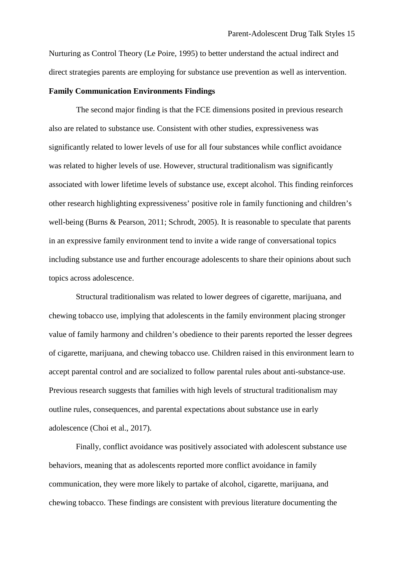Nurturing as Control Theory (Le Poire, 1995) to better understand the actual indirect and direct strategies parents are employing for substance use prevention as well as intervention.

#### **Family Communication Environments Findings**

The second major finding is that the FCE dimensions posited in previous research also are related to substance use. Consistent with other studies, expressiveness was significantly related to lower levels of use for all four substances while conflict avoidance was related to higher levels of use. However, structural traditionalism was significantly associated with lower lifetime levels of substance use, except alcohol. This finding reinforces other research highlighting expressiveness' positive role in family functioning and children's well-being (Burns & Pearson, 2011; Schrodt, 2005). It is reasonable to speculate that parents in an expressive family environment tend to invite a wide range of conversational topics including substance use and further encourage adolescents to share their opinions about such topics across adolescence.

Structural traditionalism was related to lower degrees of cigarette, marijuana, and chewing tobacco use, implying that adolescents in the family environment placing stronger value of family harmony and children's obedience to their parents reported the lesser degrees of cigarette, marijuana, and chewing tobacco use. Children raised in this environment learn to accept parental control and are socialized to follow parental rules about anti-substance-use. Previous research suggests that families with high levels of structural traditionalism may outline rules, consequences, and parental expectations about substance use in early adolescence (Choi et al., 2017).

Finally, conflict avoidance was positively associated with adolescent substance use behaviors, meaning that as adolescents reported more conflict avoidance in family communication, they were more likely to partake of alcohol, cigarette, marijuana, and chewing tobacco. These findings are consistent with previous literature documenting the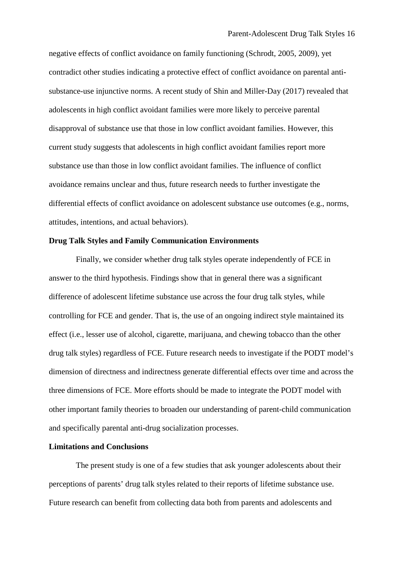negative effects of conflict avoidance on family functioning (Schrodt, 2005, 2009), yet contradict other studies indicating a protective effect of conflict avoidance on parental antisubstance-use injunctive norms. A recent study of Shin and Miller-Day (2017) revealed that adolescents in high conflict avoidant families were more likely to perceive parental disapproval of substance use that those in low conflict avoidant families. However, this current study suggests that adolescents in high conflict avoidant families report more substance use than those in low conflict avoidant families. The influence of conflict avoidance remains unclear and thus, future research needs to further investigate the differential effects of conflict avoidance on adolescent substance use outcomes (e.g., norms, attitudes, intentions, and actual behaviors).

#### **Drug Talk Styles and Family Communication Environments**

Finally, we consider whether drug talk styles operate independently of FCE in answer to the third hypothesis. Findings show that in general there was a significant difference of adolescent lifetime substance use across the four drug talk styles, while controlling for FCE and gender. That is, the use of an ongoing indirect style maintained its effect (i.e., lesser use of alcohol, cigarette, marijuana, and chewing tobacco than the other drug talk styles) regardless of FCE. Future research needs to investigate if the PODT model's dimension of directness and indirectness generate differential effects over time and across the three dimensions of FCE. More efforts should be made to integrate the PODT model with other important family theories to broaden our understanding of parent-child communication and specifically parental anti-drug socialization processes.

#### **Limitations and Conclusions**

The present study is one of a few studies that ask younger adolescents about their perceptions of parents' drug talk styles related to their reports of lifetime substance use. Future research can benefit from collecting data both from parents and adolescents and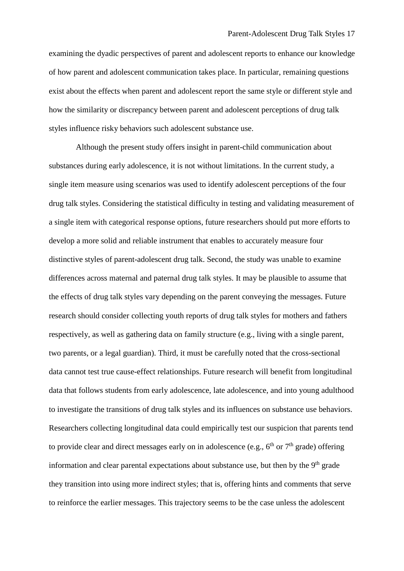examining the dyadic perspectives of parent and adolescent reports to enhance our knowledge of how parent and adolescent communication takes place. In particular, remaining questions exist about the effects when parent and adolescent report the same style or different style and how the similarity or discrepancy between parent and adolescent perceptions of drug talk styles influence risky behaviors such adolescent substance use.

Although the present study offers insight in parent-child communication about substances during early adolescence, it is not without limitations. In the current study, a single item measure using scenarios was used to identify adolescent perceptions of the four drug talk styles. Considering the statistical difficulty in testing and validating measurement of a single item with categorical response options, future researchers should put more efforts to develop a more solid and reliable instrument that enables to accurately measure four distinctive styles of parent-adolescent drug talk. Second, the study was unable to examine differences across maternal and paternal drug talk styles. It may be plausible to assume that the effects of drug talk styles vary depending on the parent conveying the messages. Future research should consider collecting youth reports of drug talk styles for mothers and fathers respectively, as well as gathering data on family structure (e.g., living with a single parent, two parents, or a legal guardian). Third, it must be carefully noted that the cross-sectional data cannot test true cause-effect relationships. Future research will benefit from longitudinal data that follows students from early adolescence, late adolescence, and into young adulthood to investigate the transitions of drug talk styles and its influences on substance use behaviors. Researchers collecting longitudinal data could empirically test our suspicion that parents tend to provide clear and direct messages early on in adolescence (e.g.,  $6<sup>th</sup>$  or  $7<sup>th</sup>$  grade) offering information and clear parental expectations about substance use, but then by the  $9<sup>th</sup>$  grade they transition into using more indirect styles; that is, offering hints and comments that serve to reinforce the earlier messages. This trajectory seems to be the case unless the adolescent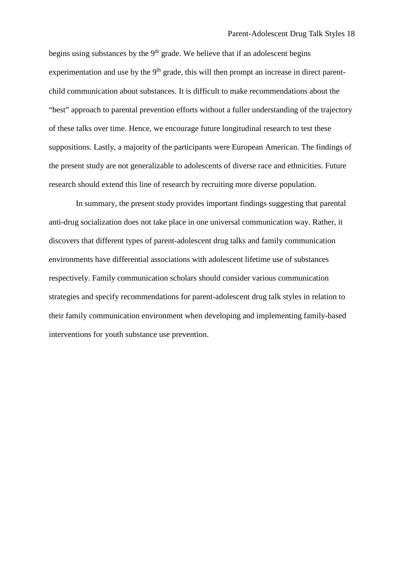begins using substances by the 9<sup>th</sup> grade. We believe that if an adolescent begins experimentation and use by the  $9<sup>th</sup>$  grade, this will then prompt an increase in direct parentchild communication about substances. It is difficult to make recommendations about the "best" approach to parental prevention efforts without a fuller understanding of the trajectory of these talks over time. Hence, we encourage future longitudinal research to test these suppositions. Lastly, a majority of the participants were European American. The findings of the present study are not generalizable to adolescents of diverse race and ethnicities. Future research should extend this line of research by recruiting more diverse population.

In summary, the present study provides important findings suggesting that parental anti-drug socialization does not take place in one universal communication way. Rather, it discovers that different types of parent-adolescent drug talks and family communication environments have differential associations with adolescent lifetime use of substances respectively. Family communication scholars should consider various communication strategies and specify recommendations for parent-adolescent drug talk styles in relation to their family communication environment when developing and implementing family-based interventions for youth substance use prevention.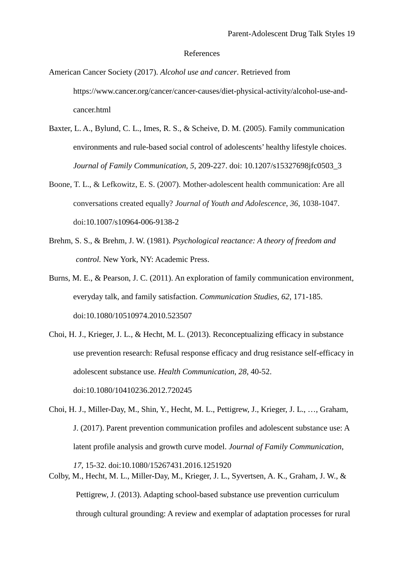#### References

American Cancer Society (2017). *Alcohol use and cancer*. Retrieved from https://www.cancer.org/cancer/cancer-causes/diet-physical-activity/alcohol-use-andcancer.html

- Baxter, L. A., Bylund, C. L., Imes, R. S., & Scheive, D. M. (2005). Family communication environments and rule-based social control of adolescents' healthy lifestyle choices. *Journal of Family Communication*, *5*, 209-227. doi: 10.1207/s15327698jfc0503\_3
- Boone, T. L., & Lefkowitz, E. S. (2007). Mother-adolescent health communication: Are all conversations created equally? *Journal of Youth and Adolescence*, *36*, 1038-1047. doi:10.1007/s10964-006-9138-2
- Brehm, S. S., & Brehm, J. W. (1981). *Psychological reactance: A theory of freedom and control.* New York, NY: Academic Press.
- Burns, M. E., & Pearson, J. C. (2011). An exploration of family communication environment, everyday talk, and family satisfaction. *Communication Studies*, *62*, 171-185. doi:10.1080/10510974.2010.523507
- Choi, H. J., Krieger, J. L., & Hecht, M. L. (2013). Reconceptualizing efficacy in substance use prevention research: Refusal response efficacy and drug resistance self-efficacy in adolescent substance use. *Health Communication*, *28*, 40-52. doi:10.1080/10410236.2012.720245
- Choi, H. J., Miller-Day, M., Shin, Y., Hecht, M. L., Pettigrew, J., Krieger, J. L., …, Graham, J. (2017). Parent prevention communication profiles and adolescent substance use: A latent profile analysis and growth curve model. *Journal of Family Communication*,
- *17*, 15-32. doi:10.1080/15267431.2016.1251920 Colby, M., Hecht, M. L., Miller-Day, M., Krieger, J. L., Syvertsen, A. K., Graham, J. W., & Pettigrew, J. (2013). Adapting school-based substance use prevention curriculum through cultural grounding: A review and exemplar of adaptation processes for rural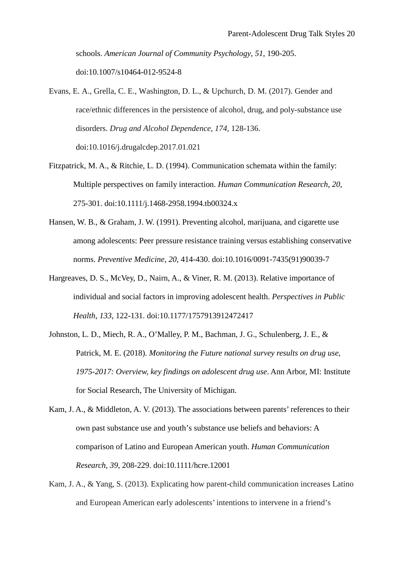schools. *American Journal of Community Psychology*, *51*, 190-205. doi:10.1007/s10464-012-9524-8

- Evans, E. A., Grella, C. E., Washington, D. L., & Upchurch, D. M. (2017). Gender and race/ethnic differences in the persistence of alcohol, drug, and poly-substance use disorders. *Drug and Alcohol Dependence*, *174*, 128-136. doi:10.1016/j.drugalcdep.2017.01.021
- Fitzpatrick, M. A., & Ritchie, L. D. (1994). Communication schemata within the family: Multiple perspectives on family interaction. *Human Communication Research*, *20*, 275-301. doi:10.1111/j.1468-2958.1994.tb00324.x
- Hansen, W. B., & Graham, J. W. (1991). Preventing alcohol, marijuana, and cigarette use among adolescents: Peer pressure resistance training versus establishing conservative norms. *Preventive Medicine*, *20*, 414-430. doi:10.1016/0091-7435(91)90039-7
- Hargreaves, D. S., McVey, D., Nairn, A., & Viner, R. M. (2013). Relative importance of individual and social factors in improving adolescent health. *Perspectives in Public Health*, *133*, 122-131. doi:10.1177/1757913912472417
- Johnston, L. D., Miech, R. A., O'Malley, P. M., Bachman, J. G., Schulenberg, J. E., & Patrick, M. E. (2018). *Monitoring the Future national survey results on drug use, 1975-2017: Overview, key findings on adolescent drug use*. Ann Arbor, MI: Institute for Social Research, The University of Michigan.
- Kam, J. A., & Middleton, A. V. (2013). The associations between parents' references to their own past substance use and youth's substance use beliefs and behaviors: A comparison of Latino and European American youth. *Human Communication Research*, *39*, 208-229. doi:10.1111/hcre.12001
- Kam, J. A., & Yang, S. (2013). Explicating how parent-child communication increases Latino and European American early adolescents' intentions to intervene in a friend's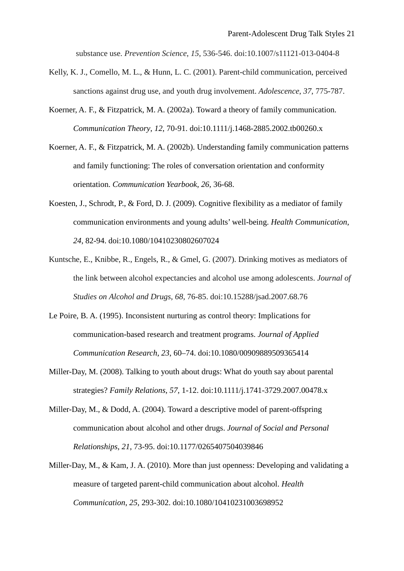substance use. *Prevention Science*, *15*, 536-546. doi:10.1007/s11121-013-0404-8

- Kelly, K. J., Comello, M. L., & Hunn, L. C. (2001). Parent-child communication, perceived sanctions against drug use, and youth drug involvement. *Adolescence*, *37*, 775-787.
- Koerner, A. F., & Fitzpatrick, M. A. (2002a). Toward a theory of family communication. *Communication Theory*, *12*, 70-91. doi:10.1111/j.1468-2885.2002.tb00260.x
- Koerner, A. F., & Fitzpatrick, M. A. (2002b). Understanding family communication patterns and family functioning: The roles of conversation orientation and conformity orientation. *Communication Yearbook*, *26*, 36-68.
- Koesten, J., Schrodt, P., & Ford, D. J. (2009). Cognitive flexibility as a mediator of family communication environments and young adults' well-being. *Health Communication*, *24*, 82-94. doi:10.1080/10410230802607024
- Kuntsche, E., Knibbe, R., Engels, R., & Gmel, G. (2007). Drinking motives as mediators of the link between alcohol expectancies and alcohol use among adolescents. *Journal of Studies on Alcohol and Drugs*, *68*, 76-85. doi:10.15288/jsad.2007.68.76
- Le Poire, B. A. (1995). Inconsistent nurturing as control theory: Implications for communication-based research and treatment programs. *Journal of Applied Communication Research*, *23*, 60–74. doi:10.1080/00909889509365414
- Miller-Day, M. (2008). Talking to youth about drugs: What do youth say about parental strategies? *Family Relations*, *57*, 1-12. doi:10.1111/j.1741-3729.2007.00478.x
- Miller-Day, M., & Dodd, A. (2004). Toward a descriptive model of parent-offspring communication about alcohol and other drugs. *Journal of Social and Personal Relationships*, *21*, 73-95. doi:10.1177/0265407504039846
- Miller-Day, M., & Kam, J. A. (2010). More than just openness: Developing and validating a measure of targeted parent-child communication about alcohol. *Health Communication*, *25*, 293-302. doi:10.1080/10410231003698952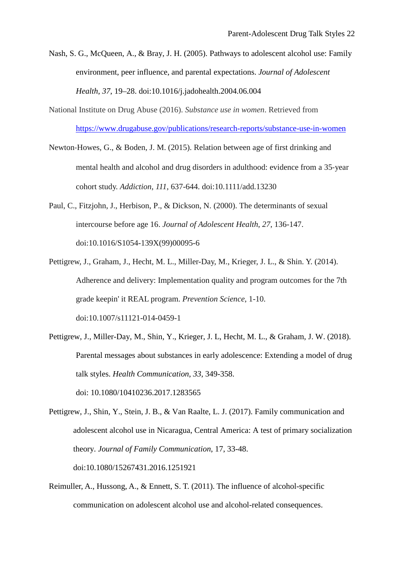- Nash, S. G., McQueen, A., & Bray, J. H. (2005). Pathways to adolescent alcohol use: Family environment, peer influence, and parental expectations. *Journal of Adolescent Health*, *37*, 19–28. doi:10.1016/j.jadohealth.2004.06.004
- National Institute on Drug Abuse (2016). *Substance use in women*. Retrieved from <https://www.drugabuse.gov/publications/research-reports/substance-use-in-women>
- Newton-Howes, G., & Boden, J. M. (2015). Relation between age of first drinking and mental health and alcohol and drug disorders in adulthood: evidence from a 35-year cohort study. *Addiction*, *111*, 637-644. doi:10.1111/add.13230
- Paul, C., Fitzjohn, J., Herbison, P., & Dickson, N. (2000). The determinants of sexual intercourse before age 16. *Journal of Adolescent Health*, *27*, 136-147. doi:10.1016/S1054-139X(99)00095-6
- Pettigrew, J., Graham, J., Hecht, M. L., Miller-Day, M., Krieger, J. L., & Shin. Y. (2014). Adherence and delivery: Implementation quality and program outcomes for the 7th grade keepin' it REAL program. *Prevention Science*, 1-10. doi:10.1007/s11121-014-0459-1
- Pettigrew, J., Miller-Day, M., Shin, Y., Krieger, J. L, Hecht, M. L., & Graham, J. W. (2018). Parental messages about substances in early adolescence: Extending a model of drug talk styles. *Health Communication*, *33*, 349-358. doi: 10.1080/10410236.2017.1283565
- Pettigrew, J., Shin, Y., Stein, J. B., & Van Raalte, L. J. (2017). Family communication and adolescent alcohol use in Nicaragua, Central America: A test of primary socialization theory. *Journal of Family Communication*, 17, 33-48. doi:10.1080/15267431.2016.1251921
- Reimuller, A., Hussong, A., & Ennett, S. T. (2011). The influence of alcohol-specific communication on adolescent alcohol use and alcohol-related consequences.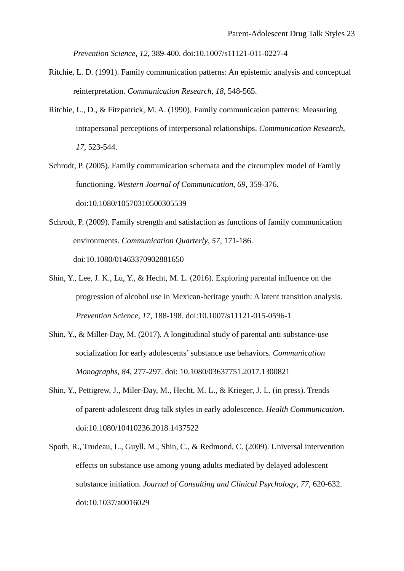*Prevention Science*, *12*, 389-400. doi:10.1007/s11121-011-0227-4

- Ritchie, L. D. (1991). Family communication patterns: An epistemic analysis and conceptual reinterpretation. *Communication Research*, *18*, 548-565.
- Ritchie, L., D., & Fitzpatrick, M. A. (1990). Family communication patterns: Measuring intrapersonal perceptions of interpersonal relationships. *Communication Research*, *17*, 523-544.
- Schrodt, P. (2005). Family communication schemata and the circumplex model of Family functioning. *Western Journal of Communication*, *69*, 359-376. doi:10.1080/10570310500305539
- Schrodt, P. (2009). Family strength and satisfaction as functions of family communication environments. *Communication Quarterly*, *57*, 171-186. doi:10.1080/01463370902881650
- Shin, Y., Lee, J. K., Lu, Y., & Hecht, M. L. (2016). Exploring parental influence on the progression of alcohol use in Mexican-heritage youth: A latent transition analysis. *Prevention Science*, *17*, 188-198. doi:10.1007/s11121-015-0596-1
- Shin, Y., & Miller-Day, M. (2017). A longitudinal study of parental anti substance-use socialization for early adolescents' substance use behaviors. *Communication Monographs*, *84*, 277-297. doi: 10.1080/03637751.2017.1300821
- Shin, Y., Pettigrew, J., Miler-Day, M., Hecht, M. L., & Krieger, J. L. (in press). Trends of parent-adolescent drug talk styles in early adolescence. *Health Communication*. doi:10.1080/10410236.2018.1437522
- Spoth, R., Trudeau, L., Guyll, M., Shin, C., & Redmond, C. (2009). Universal intervention effects on substance use among young adults mediated by delayed adolescent substance initiation. *Journal of Consulting and Clinical Psychology*, *77*, 620-632. doi:10.1037/a0016029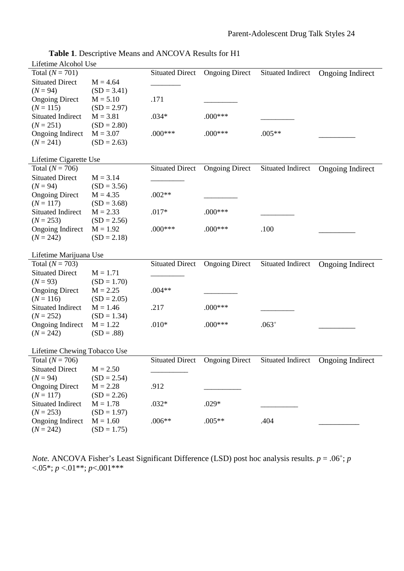| Lifetime Alcohol Use                   |                             |                        |                       |                          |                         |  |  |  |  |
|----------------------------------------|-----------------------------|------------------------|-----------------------|--------------------------|-------------------------|--|--|--|--|
| Total $(N = 701)$                      |                             | <b>Situated Direct</b> | <b>Ongoing Direct</b> | Situated Indirect        | <b>Ongoing Indirect</b> |  |  |  |  |
| <b>Situated Direct</b>                 | $M = 4.64$                  |                        |                       |                          |                         |  |  |  |  |
| $(N = 94)$                             | $(SD = 3.41)$               |                        |                       |                          |                         |  |  |  |  |
| <b>Ongoing Direct</b>                  | $M = 5.10$                  | .171                   |                       |                          |                         |  |  |  |  |
| $(N = 115)$                            | $(SD = 2.97)$               |                        |                       |                          |                         |  |  |  |  |
| <b>Situated Indirect</b>               | $M = 3.81$                  | $.034*$                | $.000***$             |                          |                         |  |  |  |  |
| $(N = 251)$                            | $(SD = 2.80)$               |                        |                       |                          |                         |  |  |  |  |
| <b>Ongoing Indirect</b>                | $M = 3.07$                  | $.000$ ***             | $.000***$             | $.005**$                 |                         |  |  |  |  |
| $(N = 241)$                            | $(SD = 2.63)$               |                        |                       |                          |                         |  |  |  |  |
| Lifetime Cigarette Use                 |                             |                        |                       |                          |                         |  |  |  |  |
| Total $(N = 706)$                      |                             | <b>Situated Direct</b> | <b>Ongoing Direct</b> | Situated Indirect        | Ongoing Indirect        |  |  |  |  |
| <b>Situated Direct</b>                 | $M = 3.14$                  |                        |                       |                          |                         |  |  |  |  |
| $(N = 94)$                             | $(SD = 3.56)$               |                        |                       |                          |                         |  |  |  |  |
| <b>Ongoing Direct</b>                  | $M = 4.35$                  | $.002**$               |                       |                          |                         |  |  |  |  |
| $(N = 117)$                            | $(SD = 3.68)$               |                        |                       |                          |                         |  |  |  |  |
| <b>Situated Indirect</b>               | $M = 2.33$                  | $.017*$                | $.000***$             |                          |                         |  |  |  |  |
| $(N = 253)$                            | $(SD = 2.56)$               |                        |                       |                          |                         |  |  |  |  |
| Ongoing Indirect                       | $M = 1.92$                  | $.000***$              | $.000***$             | .100                     |                         |  |  |  |  |
| $(N = 242)$                            | $(SD = 2.18)$               |                        |                       |                          |                         |  |  |  |  |
|                                        |                             |                        |                       |                          |                         |  |  |  |  |
| Lifetime Marijuana Use                 |                             |                        |                       |                          |                         |  |  |  |  |
| Total $(N = 703)$                      |                             | <b>Situated Direct</b> | <b>Ongoing Direct</b> | Situated Indirect        | Ongoing Indirect        |  |  |  |  |
| <b>Situated Direct</b>                 | $M = 1.71$                  |                        |                       |                          |                         |  |  |  |  |
| $(N = 93)$                             | $(SD = 1.70)$               |                        |                       |                          |                         |  |  |  |  |
| <b>Ongoing Direct</b>                  | $M = 2.25$                  | $.004**$               |                       |                          |                         |  |  |  |  |
| $(N = 116)$                            | $(SD = 2.05)$               |                        |                       |                          |                         |  |  |  |  |
| Situated Indirect                      | $M = 1.46$                  | .217                   | $.000***$             |                          |                         |  |  |  |  |
| $(N = 252)$                            | $(SD = 1.34)$               |                        |                       |                          |                         |  |  |  |  |
| <b>Ongoing Indirect</b>                | $M = 1.22$                  | $.010*$                | $.000***$             | $.063+$                  |                         |  |  |  |  |
| $(N = 242)$                            | $(SD = .88)$                |                        |                       |                          |                         |  |  |  |  |
| Lifetime Chewing Tobacco Use           |                             |                        |                       |                          |                         |  |  |  |  |
| Total $(N = 706)$                      |                             |                        |                       |                          |                         |  |  |  |  |
|                                        |                             | <b>Situated Direct</b> | <b>Ongoing Direct</b> | <b>Situated Indirect</b> | Ongoing Indirect        |  |  |  |  |
| <b>Situated Direct</b>                 | $M = 2.50$                  |                        |                       |                          |                         |  |  |  |  |
| $(N = 94)$                             | $(SD = 2.54)$               |                        |                       |                          |                         |  |  |  |  |
| <b>Ongoing Direct</b>                  | $M = 2.28$                  | .912                   |                       |                          |                         |  |  |  |  |
|                                        |                             |                        |                       |                          |                         |  |  |  |  |
| $(N = 117)$                            | $(SD = 2.26)$               |                        |                       |                          |                         |  |  |  |  |
| <b>Situated Indirect</b>               | $M = 1.78$                  | $.032*$                | $.029*$               |                          |                         |  |  |  |  |
| $(N = 253)$                            | $(SD = 1.97)$               |                        |                       |                          |                         |  |  |  |  |
| <b>Ongoing Indirect</b><br>$(N = 242)$ | $M = 1.60$<br>$(SD = 1.75)$ | $.006**$               | $.005**$              | .404                     |                         |  |  |  |  |

*Note.* ANCOVA Fisher's Least Significant Difference (LSD) post hoc analysis results.  $p = .06^{\circ}$ ; *p*  $<0.05*; p < 0.01**; p < 0.001***$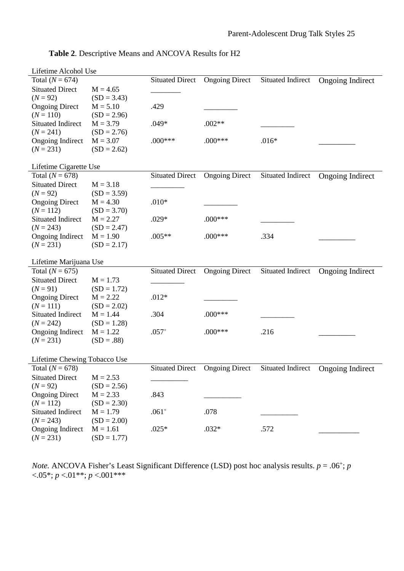| Lifetime Alcohol Use         |               |                        |                       |                          |                         |  |  |  |  |
|------------------------------|---------------|------------------------|-----------------------|--------------------------|-------------------------|--|--|--|--|
| Total ( $N = 674$ )          |               | <b>Situated Direct</b> | <b>Ongoing Direct</b> | Situated Indirect        | <b>Ongoing Indirect</b> |  |  |  |  |
| <b>Situated Direct</b>       | $M = 4.65$    |                        |                       |                          |                         |  |  |  |  |
| $(N = 92)$                   | $(SD = 3.43)$ |                        |                       |                          |                         |  |  |  |  |
| <b>Ongoing Direct</b>        | $M = 5.10$    | .429                   |                       |                          |                         |  |  |  |  |
| $(N = 110)$                  | $(SD = 2.96)$ |                        |                       |                          |                         |  |  |  |  |
| <b>Situated Indirect</b>     | $M = 3.79$    | $.049*$                | $.002**$              |                          |                         |  |  |  |  |
| $(N = 241)$                  | $(SD = 2.76)$ |                        |                       |                          |                         |  |  |  |  |
| <b>Ongoing Indirect</b>      | $M = 3.07$    | $.000***$              | $.000***$             | $.016*$                  |                         |  |  |  |  |
| $(N = 231)$                  | $(SD = 2.62)$ |                        |                       |                          |                         |  |  |  |  |
| Lifetime Cigarette Use       |               |                        |                       |                          |                         |  |  |  |  |
| Total $(N = 678)$            |               | <b>Situated Direct</b> | <b>Ongoing Direct</b> | Situated Indirect        | Ongoing Indirect        |  |  |  |  |
| <b>Situated Direct</b>       | $M = 3.18$    |                        |                       |                          |                         |  |  |  |  |
| $(N = 92)$                   | $(SD = 3.59)$ |                        |                       |                          |                         |  |  |  |  |
| <b>Ongoing Direct</b>        | $M = 4.30$    | $.010*$                |                       |                          |                         |  |  |  |  |
| $(N = 112)$                  | $(SD = 3.70)$ |                        |                       |                          |                         |  |  |  |  |
| <b>Situated Indirect</b>     | $M = 2.27$    | $.029*$                | $.000***$             |                          |                         |  |  |  |  |
| $(N = 243)$                  | $(SD = 2.47)$ |                        |                       |                          |                         |  |  |  |  |
| Ongoing Indirect             | $M = 1.90$    | $.005**$               | $.000***$             | .334                     |                         |  |  |  |  |
| $(N = 231)$                  | $(SD = 2.17)$ |                        |                       |                          |                         |  |  |  |  |
| Lifetime Marijuana Use       |               |                        |                       |                          |                         |  |  |  |  |
| Total $(N = 675)$            |               | <b>Situated Direct</b> | <b>Ongoing Direct</b> | Situated Indirect        | Ongoing Indirect        |  |  |  |  |
| <b>Situated Direct</b>       | $M = 1.73$    |                        |                       |                          |                         |  |  |  |  |
| $(N = 91)$                   | $(SD = 1.72)$ |                        |                       |                          |                         |  |  |  |  |
| <b>Ongoing Direct</b>        | $M = 2.22$    | $.012*$                |                       |                          |                         |  |  |  |  |
| $(N = 111)$                  | $(SD = 2.02)$ |                        |                       |                          |                         |  |  |  |  |
| <b>Situated Indirect</b>     | $M = 1.44$    | .304                   | $.000***$             |                          |                         |  |  |  |  |
| $(N = 242)$                  | $(SD = 1.28)$ |                        |                       |                          |                         |  |  |  |  |
| <b>Ongoing Indirect</b>      | $M = 1.22$    | $.057+$                | $.000***$             | .216                     |                         |  |  |  |  |
| $(N = 231)$                  | $(SD = .88)$  |                        |                       |                          |                         |  |  |  |  |
|                              |               |                        |                       |                          |                         |  |  |  |  |
| Lifetime Chewing Tobacco Use |               |                        |                       |                          |                         |  |  |  |  |
| Total $(N = 678)$            |               | <b>Situated Direct</b> | <b>Ongoing Direct</b> | <b>Situated Indirect</b> | <b>Ongoing Indirect</b> |  |  |  |  |
| <b>Situated Direct</b>       | $M = 2.53$    |                        |                       |                          |                         |  |  |  |  |
| $(N = 92)$                   | $(SD = 2.56)$ |                        |                       |                          |                         |  |  |  |  |
| <b>Ongoing Direct</b>        | $M = 2.33$    | .843                   |                       |                          |                         |  |  |  |  |
| $(N = 112)$                  | $(SD = 2.30)$ |                        |                       |                          |                         |  |  |  |  |
| <b>Situated Indirect</b>     | $M = 1.79$    | $.061^{+}$             | .078                  |                          |                         |  |  |  |  |
| $(N = 243)$                  | $(SD = 2.00)$ |                        |                       |                          |                         |  |  |  |  |
| <b>Ongoing Indirect</b>      | $M = 1.61$    | $.025*$                | $.032*$               | .572                     |                         |  |  |  |  |
| $(N = 231)$                  | $(SD = 1.77)$ |                        |                       |                          |                         |  |  |  |  |

**Table 2**. Descriptive Means and ANCOVA Results for H2

*Note.* ANCOVA Fisher's Least Significant Difference (LSD) post hoc analysis results.  $p = .06^{\circ}$ ; *p* <.05\*; *p* <.01\*\*; *p* <.001\*\*\*